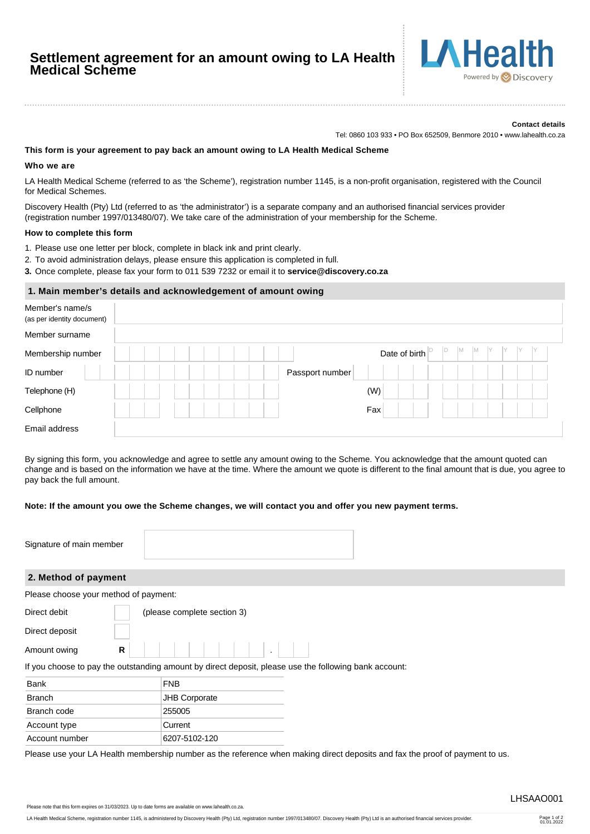# **Settlement agreement for an amount owing to LA Health Medical Scheme**



#### **Contact details**

Tel: 0860 103 933 • PO Box 652509, Benmore 2010 • www.lahealth.co.za

## **This form is your agreement to pay back an amount owing to LA Health Medical Scheme**

### **Who we are**

LA Health Medical Scheme (referred to as 'the Scheme'), registration number 1145, is a non-profit organisation, registered with the Council for Medical Schemes.

Discovery Health (Pty) Ltd (referred to as 'the administrator') is a separate company and an authorised financial services provider (registration number 1997/013480/07). We take care of the administration of your membership for the Scheme.

## **How to complete this form**

1. Please use one letter per block, complete in black ink and print clearly.

- 2. To avoid administration delays, please ensure this application is completed in full.
- **3.** Once complete, please fax your form to 011 539 7232 or email it to **service@discovery.co.za**

## **1. Main member's details and acknowledgement of amount owing**

| Member's name/s<br>(as per identity document) |  |  |                 |               |         |           |  |  |
|-----------------------------------------------|--|--|-----------------|---------------|---------|-----------|--|--|
| Member surname                                |  |  |                 |               |         |           |  |  |
| Membership number                             |  |  |                 | Date of birth | Id<br>M | IM.<br>IY |  |  |
| ID number                                     |  |  | Passport number |               |         |           |  |  |
| Telephone (H)                                 |  |  |                 | (W)           |         |           |  |  |
| Cellphone                                     |  |  |                 | Fax           |         |           |  |  |
| Email address                                 |  |  |                 |               |         |           |  |  |

By signing this form, you acknowledge and agree to settle any amount owing to the Scheme. You acknowledge that the amount quoted can change and is based on the information we have at the time. Where the amount we quote is different to the final amount that is due, you agree to pay back the full amount.

## **Note: If the amount you owe the Scheme changes, we will contact you and offer you new payment terms.**

| Signature of main member                                                                              |                             |  |  |  |  |  |
|-------------------------------------------------------------------------------------------------------|-----------------------------|--|--|--|--|--|
| 2. Method of payment                                                                                  |                             |  |  |  |  |  |
| Please choose your method of payment:                                                                 |                             |  |  |  |  |  |
| Direct debit                                                                                          | (please complete section 3) |  |  |  |  |  |
| Direct deposit                                                                                        |                             |  |  |  |  |  |
| R<br>Amount owing                                                                                     |                             |  |  |  |  |  |
| If you choose to pay the outstanding amount by direct deposit, please use the following bank account: |                             |  |  |  |  |  |
| <b>Bank</b>                                                                                           | <b>FNB</b>                  |  |  |  |  |  |
| <b>Branch</b>                                                                                         | <b>JHB Corporate</b>        |  |  |  |  |  |
| Branch code                                                                                           | 255005                      |  |  |  |  |  |
| Account type                                                                                          | Current                     |  |  |  |  |  |
| Account number                                                                                        | 6207-5102-120               |  |  |  |  |  |

Please use your LA Health membership number as the reference when making direct deposits and fax the proof of payment to us.